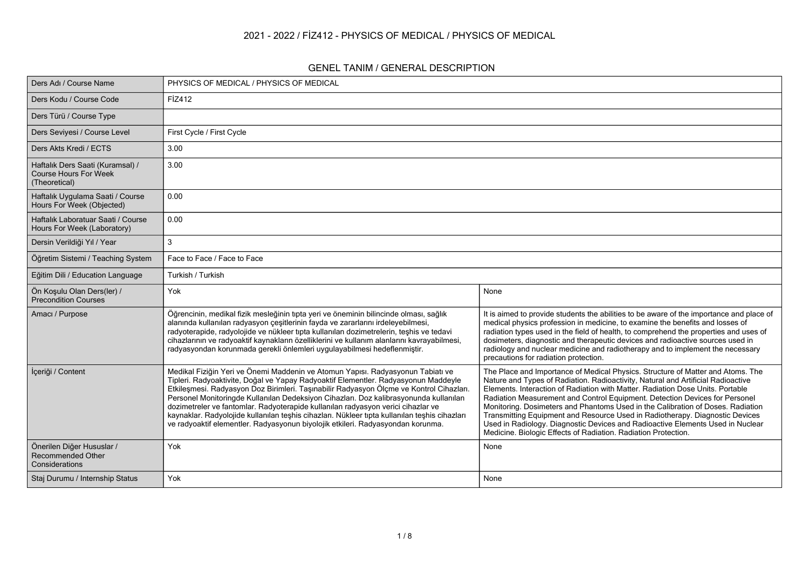#### **2021 - 2022 / FİZ412 - PHYSICS OF MEDICAL / PHYSICS OF MEDICAL**

#### **GENEL TANIM / GENERAL DESCRIPTION**

| Ders Adı / Course Name                                                            | PHYSICS OF MEDICAL / PHYSICS OF MEDICAL                                                                                                                                                                                                                                                                                                                                                                                                                                                                                                                                                                                           |                                                                                                                                                                                                                                                                                                                                                                                                                                                                                                                                                                                                                                                             |  |  |  |  |  |  |
|-----------------------------------------------------------------------------------|-----------------------------------------------------------------------------------------------------------------------------------------------------------------------------------------------------------------------------------------------------------------------------------------------------------------------------------------------------------------------------------------------------------------------------------------------------------------------------------------------------------------------------------------------------------------------------------------------------------------------------------|-------------------------------------------------------------------------------------------------------------------------------------------------------------------------------------------------------------------------------------------------------------------------------------------------------------------------------------------------------------------------------------------------------------------------------------------------------------------------------------------------------------------------------------------------------------------------------------------------------------------------------------------------------------|--|--|--|--|--|--|
| Ders Kodu / Course Code                                                           | FİZ412                                                                                                                                                                                                                                                                                                                                                                                                                                                                                                                                                                                                                            |                                                                                                                                                                                                                                                                                                                                                                                                                                                                                                                                                                                                                                                             |  |  |  |  |  |  |
| Ders Türü / Course Type                                                           |                                                                                                                                                                                                                                                                                                                                                                                                                                                                                                                                                                                                                                   |                                                                                                                                                                                                                                                                                                                                                                                                                                                                                                                                                                                                                                                             |  |  |  |  |  |  |
| Ders Seviyesi / Course Level                                                      | First Cycle / First Cycle                                                                                                                                                                                                                                                                                                                                                                                                                                                                                                                                                                                                         |                                                                                                                                                                                                                                                                                                                                                                                                                                                                                                                                                                                                                                                             |  |  |  |  |  |  |
| Ders Akts Kredi / ECTS                                                            | 3.00                                                                                                                                                                                                                                                                                                                                                                                                                                                                                                                                                                                                                              |                                                                                                                                                                                                                                                                                                                                                                                                                                                                                                                                                                                                                                                             |  |  |  |  |  |  |
| Haftalık Ders Saati (Kuramsal) /<br><b>Course Hours For Week</b><br>(Theoretical) | 3.00                                                                                                                                                                                                                                                                                                                                                                                                                                                                                                                                                                                                                              |                                                                                                                                                                                                                                                                                                                                                                                                                                                                                                                                                                                                                                                             |  |  |  |  |  |  |
| Haftalık Uygulama Saati / Course<br>Hours For Week (Objected)                     | 0.00                                                                                                                                                                                                                                                                                                                                                                                                                                                                                                                                                                                                                              |                                                                                                                                                                                                                                                                                                                                                                                                                                                                                                                                                                                                                                                             |  |  |  |  |  |  |
| Haftalık Laboratuar Saati / Course<br>Hours For Week (Laboratory)                 | 0.00                                                                                                                                                                                                                                                                                                                                                                                                                                                                                                                                                                                                                              |                                                                                                                                                                                                                                                                                                                                                                                                                                                                                                                                                                                                                                                             |  |  |  |  |  |  |
| Dersin Verildiği Yıl / Year                                                       | 3                                                                                                                                                                                                                                                                                                                                                                                                                                                                                                                                                                                                                                 |                                                                                                                                                                                                                                                                                                                                                                                                                                                                                                                                                                                                                                                             |  |  |  |  |  |  |
| Öğretim Sistemi / Teaching System                                                 | Face to Face / Face to Face                                                                                                                                                                                                                                                                                                                                                                                                                                                                                                                                                                                                       |                                                                                                                                                                                                                                                                                                                                                                                                                                                                                                                                                                                                                                                             |  |  |  |  |  |  |
| Eğitim Dili / Education Language                                                  | Turkish / Turkish                                                                                                                                                                                                                                                                                                                                                                                                                                                                                                                                                                                                                 |                                                                                                                                                                                                                                                                                                                                                                                                                                                                                                                                                                                                                                                             |  |  |  |  |  |  |
| Ön Kosulu Olan Ders(ler) /<br><b>Precondition Courses</b>                         | Yok                                                                                                                                                                                                                                                                                                                                                                                                                                                                                                                                                                                                                               | None                                                                                                                                                                                                                                                                                                                                                                                                                                                                                                                                                                                                                                                        |  |  |  |  |  |  |
| Amacı / Purpose                                                                   | Öğrencinin, medikal fizik mesleğinin tıpta yeri ve öneminin bilincinde olması, sağlık<br>alanında kullanılan radyasyon çeşitlerinin fayda ve zararlarını irdeleyebilmesi,<br>radyoterapide, radyolojide ve nükleer tıpta kullanılan dozimetrelerin, teşhis ve tedavi<br>cihazlarının ve radyoaktif kaynakların özelliklerini ve kullanım alanlarını kavrayabilmesi,<br>radyasyondan korunmada gerekli önlemleri uygulayabilmesi hedeflenmiştir.                                                                                                                                                                                   | It is aimed to provide students the abilities to be aware of the importance and place of<br>medical physics profession in medicine, to examine the benefits and losses of<br>radiation types used in the field of health, to comprehend the properties and uses of<br>dosimeters, diagnostic and therapeutic devices and radioactive sources used in<br>radiology and nuclear medicine and radiotherapy and to implement the necessary<br>precautions for radiation protection.                                                                                                                                                                             |  |  |  |  |  |  |
| İçeriği / Content                                                                 | Medikal Fiziğin Yeri ve Önemi Maddenin ve Atomun Yapısı. Radyasyonun Tabiatı ve<br>Tipleri. Radyoaktivite, Doğal ve Yapay Radyoaktif Elementler. Radyasyonun Maddeyle<br>Etkileşmesi. Radyasyon Doz Birimleri. Taşınabilir Radyasyon Ölçme ve Kontrol Cihazları.<br>Personel Monitoringde Kullanılan Dedeksiyon Cihazları. Doz kalibrasyonunda kullanılan<br>dozimetreler ve fantomlar. Radyoterapide kullanılan radyasyon verici cihazlar ve<br>kaynaklar. Radyolojide kullanılan teşhis cihazları. Nükleer tıpta kullanılan teşhis cihazları<br>ve radyoaktif elementler. Radyasyonun biyolojik etkileri. Radyasyondan korunma. | The Place and Importance of Medical Physics. Structure of Matter and Atoms. The<br>Nature and Types of Radiation. Radioactivity, Natural and Artificial Radioactive<br>Elements. Interaction of Radiation with Matter. Radiation Dose Units. Portable<br>Radiation Measurement and Control Equipment. Detection Devices for Personel<br>Monitoring. Dosimeters and Phantoms Used in the Calibration of Doses. Radiation<br>Transmitting Equipment and Resource Used in Radiotherapy. Diagnostic Devices<br>Used in Radiology. Diagnostic Devices and Radioactive Elements Used in Nuclear<br>Medicine. Biologic Effects of Radiation. Radiation Protection. |  |  |  |  |  |  |
| Önerilen Diğer Hususlar /<br>Recommended Other<br>Considerations                  | Yok                                                                                                                                                                                                                                                                                                                                                                                                                                                                                                                                                                                                                               | None                                                                                                                                                                                                                                                                                                                                                                                                                                                                                                                                                                                                                                                        |  |  |  |  |  |  |
| Staj Durumu / Internship Status                                                   | Yok                                                                                                                                                                                                                                                                                                                                                                                                                                                                                                                                                                                                                               | None                                                                                                                                                                                                                                                                                                                                                                                                                                                                                                                                                                                                                                                        |  |  |  |  |  |  |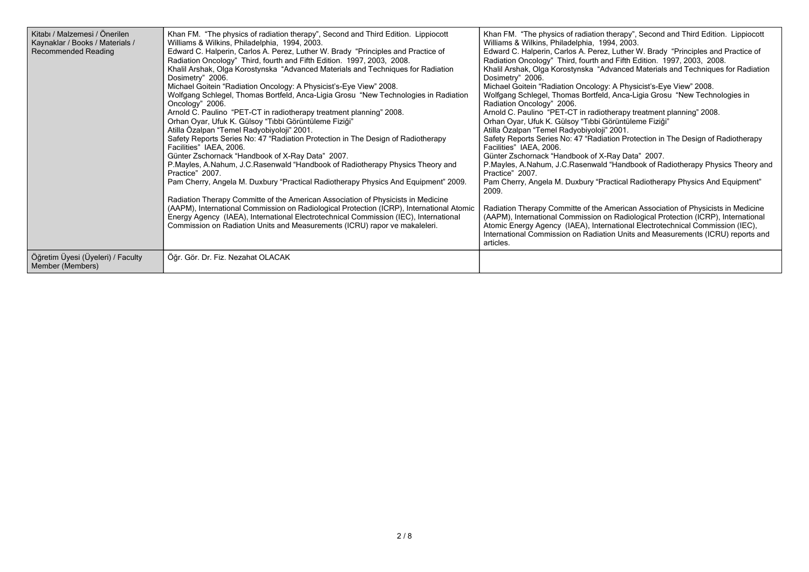| Kitabı / Malzemesi / Önerilen<br>Kaynaklar / Books / Materials /<br><b>Recommended Reading</b> | Khan FM. "The physics of radiation therapy", Second and Third Edition. Lippiocott<br>Williams & Wilkins, Philadelphia, 1994, 2003.<br>Edward C. Halperin, Carlos A. Perez, Luther W. Brady "Principles and Practice of<br>Radiation Oncology" Third, fourth and Fifth Edition. 1997, 2003, 2008.<br>Khalil Arshak, Olga Korostynska "Advanced Materials and Techniques for Radiation<br>Dosimetry" 2006.<br>Michael Goitein "Radiation Oncology: A Physicist's-Eye View" 2008.<br>Wolfgang Schlegel, Thomas Bortfeld, Anca-Ligia Grosu "New Technologies in Radiation"<br>Oncology" 2006.<br>Arnold C. Paulino "PET-CT in radiotherapy treatment planning" 2008.<br>Orhan Oyar, Ufuk K. Gülsoy "Tıbbi Görüntüleme Fiziği"<br>Atilla Özalpan "Temel Radyobiyoloji" 2001.<br>Safety Reports Series No: 47 "Radiation Protection in The Design of Radiotherapy<br>Facilities" IAEA, 2006.<br>Günter Zschornack "Handbook of X-Ray Data" 2007.<br>P.Mayles, A.Nahum, J.C.Rasenwald "Handbook of Radiotherapy Physics Theory and<br>Practice" 2007.<br>Pam Cherry, Angela M. Duxbury "Practical Radiotherapy Physics And Equipment" 2009.<br>Radiation Therapy Committe of the American Association of Physicists in Medicine<br>(AAPM), International Commission on Radiological Protection (ICRP), International Atomic<br>Energy Agency (IAEA), International Electrotechnical Commission (IEC), International<br>Commission on Radiation Units and Measurements (ICRU) rapor ve makaleleri. | Khan FM. "The physics of radiation therapy", Second and Third Edition. Lippiocott<br>Williams & Wilkins, Philadelphia, 1994, 2003.<br>Edward C. Halperin, Carlos A. Perez, Luther W. Brady "Principles and Practice of<br>Radiation Oncology" Third, fourth and Fifth Edition. 1997, 2003, 2008.<br>Khalil Arshak, Olga Korostynska "Advanced Materials and Techniques for Radiation<br>Dosimetry" 2006.<br>Michael Goitein "Radiation Oncology: A Physicist's-Eye View" 2008.<br>Wolfgang Schlegel, Thomas Bortfeld, Anca-Ligia Grosu "New Technologies in<br>Radiation Oncology" 2006.<br>Arnold C. Paulino "PET-CT in radiotherapy treatment planning" 2008.<br>Orhan Oyar, Ufuk K. Gülsoy "Tıbbi Görüntüleme Fiziği"<br>Atilla Özalpan "Temel Radyobiyoloji" 2001.<br>Safety Reports Series No: 47 "Radiation Protection in The Design of Radiotherapy<br>Facilities" IAEA, 2006.<br>Günter Zschornack "Handbook of X-Ray Data" 2007.<br>P.Mayles, A.Nahum, J.C.Rasenwald "Handbook of Radiotherapy Physics Theory and<br>Practice" 2007.<br>Pam Cherry, Angela M. Duxbury "Practical Radiotherapy Physics And Equipment"<br>2009.<br>Radiation Therapy Committe of the American Association of Physicists in Medicine<br>(AAPM), International Commission on Radiological Protection (ICRP), International<br>Atomic Energy Agency (IAEA), International Electrotechnical Commission (IEC),<br>International Commission on Radiation Units and Measurements (ICRU) reports and<br>articles. |
|------------------------------------------------------------------------------------------------|--------------------------------------------------------------------------------------------------------------------------------------------------------------------------------------------------------------------------------------------------------------------------------------------------------------------------------------------------------------------------------------------------------------------------------------------------------------------------------------------------------------------------------------------------------------------------------------------------------------------------------------------------------------------------------------------------------------------------------------------------------------------------------------------------------------------------------------------------------------------------------------------------------------------------------------------------------------------------------------------------------------------------------------------------------------------------------------------------------------------------------------------------------------------------------------------------------------------------------------------------------------------------------------------------------------------------------------------------------------------------------------------------------------------------------------------------------------------------------------------|--------------------------------------------------------------------------------------------------------------------------------------------------------------------------------------------------------------------------------------------------------------------------------------------------------------------------------------------------------------------------------------------------------------------------------------------------------------------------------------------------------------------------------------------------------------------------------------------------------------------------------------------------------------------------------------------------------------------------------------------------------------------------------------------------------------------------------------------------------------------------------------------------------------------------------------------------------------------------------------------------------------------------------------------------------------------------------------------------------------------------------------------------------------------------------------------------------------------------------------------------------------------------------------------------------------------------------------------------------------------------------------------------------------------------------------------------------------------------------------------------|
| Öğretim Üyesi (Üyeleri) / Faculty<br>Member (Members)                                          | Öğr. Gör. Dr. Fiz. Nezahat OLACAK                                                                                                                                                                                                                                                                                                                                                                                                                                                                                                                                                                                                                                                                                                                                                                                                                                                                                                                                                                                                                                                                                                                                                                                                                                                                                                                                                                                                                                                          |                                                                                                                                                                                                                                                                                                                                                                                                                                                                                                                                                                                                                                                                                                                                                                                                                                                                                                                                                                                                                                                                                                                                                                                                                                                                                                                                                                                                                                                                                                  |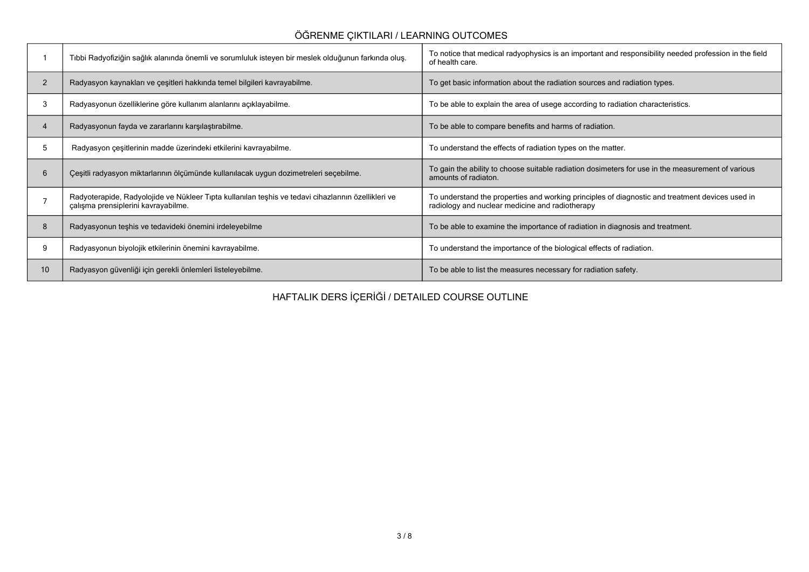### **ÖĞRENME ÇIKTILARI / LEARNING OUTCOMES**

|                | Tibbi Radyofiziğin sağlık alanında önemli ve sorumluluk isteyen bir meslek olduğunun farkında oluş.                                        | To notice that medical radyophysics is an important and responsibility needed profession in the field<br>of health care.                           |
|----------------|--------------------------------------------------------------------------------------------------------------------------------------------|----------------------------------------------------------------------------------------------------------------------------------------------------|
| $\overline{2}$ | Radyasyon kaynakları ve çeşitleri hakkında temel bilgileri kavrayabilme.                                                                   | To get basic information about the radiation sources and radiation types.                                                                          |
| 3              | Radyasyonun özelliklerine göre kullanım alanlarını açıklayabilme.                                                                          | To be able to explain the area of usege according to radiation characteristics.                                                                    |
| 4              | Radyasyonun fayda ve zararlarını karşılaştırabilme.                                                                                        | To be able to compare benefits and harms of radiation.                                                                                             |
| 5              | Radyasyon çeşitlerinin madde üzerindeki etkilerini kavrayabilme.                                                                           | To understand the effects of radiation types on the matter.                                                                                        |
| 6              | Çeşitli radyasyon miktarlarının ölçümünde kullanılacak uygun dozimetreleri seçebilme.                                                      | To gain the ability to choose suitable radiation dosimeters for use in the measurement of various<br>amounts of radiaton.                          |
|                | Radyoterapide, Radyolojide ve Nükleer Tıpta kullanılan teşhis ve tedavi cihazlarının özellikleri ve<br>çalışma prensiplerini kavrayabilme. | To understand the properties and working principles of diagnostic and treatment devices used in<br>radiology and nuclear medicine and radiotherapy |
| 8              | Radyasyonun teşhis ve tedavideki önemini irdeleyebilme                                                                                     | To be able to examine the importance of radiation in diagnosis and treatment.                                                                      |
| 9              | Radyasyonun biyolojik etkilerinin önemini kavrayabilme.                                                                                    | To understand the importance of the biological effects of radiation.                                                                               |
| 10             | Radyasyon güvenliği için gerekli önlemleri listeleyebilme.                                                                                 | To be able to list the measures necessary for radiation safety.                                                                                    |

**HAFTALIK DERS İÇERİĞİ / DETAILED COURSE OUTLINE**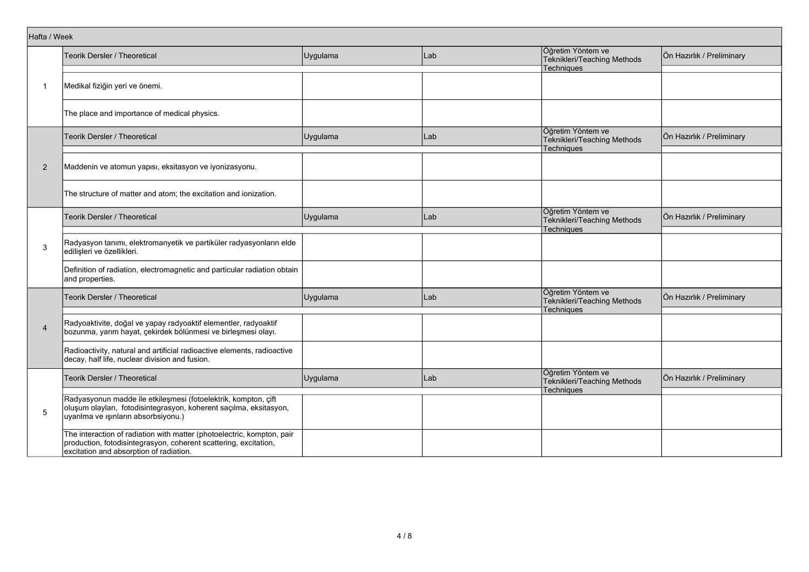|                | Hafta / Week                                                                                                                                                                          |          |     |                                                                       |                           |  |  |  |  |
|----------------|---------------------------------------------------------------------------------------------------------------------------------------------------------------------------------------|----------|-----|-----------------------------------------------------------------------|---------------------------|--|--|--|--|
|                | Teorik Dersler / Theoretical                                                                                                                                                          | Uygulama | Lab | Öğretim Yöntem ve<br>Teknikleri/Teaching Methods                      | Ön Hazırlık / Preliminary |  |  |  |  |
|                |                                                                                                                                                                                       |          |     | Techniques                                                            |                           |  |  |  |  |
| -1             | Medikal fiziğin yeri ve önemi.                                                                                                                                                        |          |     |                                                                       |                           |  |  |  |  |
|                | The place and importance of medical physics.                                                                                                                                          |          |     |                                                                       |                           |  |  |  |  |
|                | Teorik Dersler / Theoretical                                                                                                                                                          | Uygulama | Lab | Öğretim Yöntem ve<br>Teknikleri/Teaching Methods<br>Techniques        | Ön Hazırlık / Preliminary |  |  |  |  |
| $\overline{2}$ | Maddenin ve atomun yapısı, eksitasyon ve iyonizasyonu.                                                                                                                                |          |     |                                                                       |                           |  |  |  |  |
|                | The structure of matter and atom; the excitation and ionization.                                                                                                                      |          |     |                                                                       |                           |  |  |  |  |
|                | Teorik Dersler / Theoretical                                                                                                                                                          | Uygulama | Lab | Öğretim Yöntem ve<br>Teknikleri/Teaching Methods<br>Techniques        | Ön Hazırlık / Preliminary |  |  |  |  |
| 3              | Radyasyon tanımı, elektromanyetik ve partiküler radyasyonların elde<br>edilişleri ve özellikleri.                                                                                     |          |     |                                                                       |                           |  |  |  |  |
|                | Definition of radiation, electromagnetic and particular radiation obtain<br>and properties.                                                                                           |          |     |                                                                       |                           |  |  |  |  |
|                | Teorik Dersler / Theoretical                                                                                                                                                          | Uygulama | Lab | Öğretim Yöntem ve<br>Teknikleri/Teaching Methods<br><b>Techniques</b> | Ön Hazırlık / Preliminary |  |  |  |  |
| $\overline{4}$ | Radyoaktivite, doğal ve yapay radyoaktif elementler, radyoaktif<br>bozunma, yarım hayat, çekirdek bölünmesi ve birleşmesi olayı.                                                      |          |     |                                                                       |                           |  |  |  |  |
|                | Radioactivity, natural and artificial radioactive elements, radioactive<br>decay, half life, nuclear division and fusion.                                                             |          |     |                                                                       |                           |  |  |  |  |
|                | Teorik Dersler / Theoretical                                                                                                                                                          | Uygulama | Lab | Öğretim Yöntem ve<br>Teknikleri/Teaching Methods                      | Ön Hazırlık / Preliminary |  |  |  |  |
| 5              | Radyasyonun madde ile etkileşmesi (fotoelektrik, kompton, çift<br>oluşum olayları, fotodisintegrasyon, koherent saçılma, eksitasyon,<br>uyarılma ve ışınların absorbsiyonu.)          |          |     | Techniques                                                            |                           |  |  |  |  |
|                | The interaction of radiation with matter (photoelectric, kompton, pair<br>production, fotodisintegrasyon, coherent scattering, excitation,<br>excitation and absorption of radiation. |          |     |                                                                       |                           |  |  |  |  |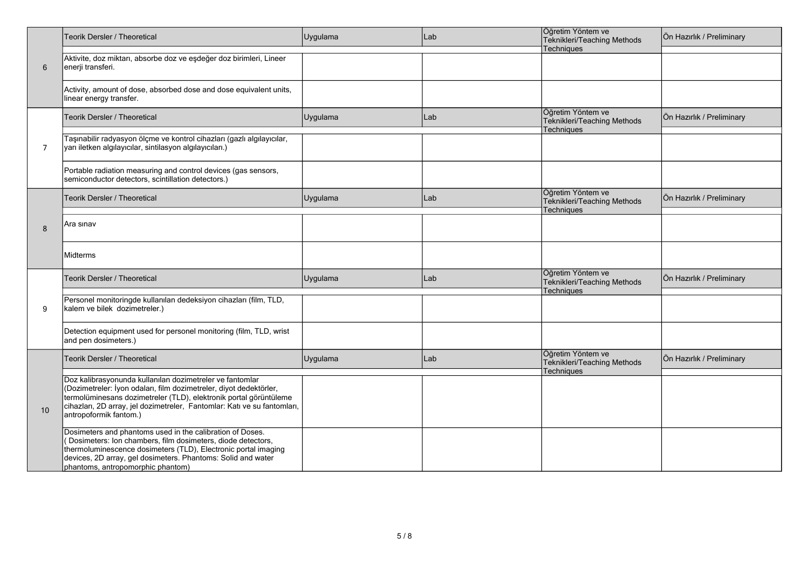|    | Teorik Dersler / Theoretical                                                                                                                                                                                                                                                                              | Uygulama | Lab | Öğretim Yöntem ve<br>Teknikleri/Teaching Methods                      | Ön Hazırlık / Preliminary |
|----|-----------------------------------------------------------------------------------------------------------------------------------------------------------------------------------------------------------------------------------------------------------------------------------------------------------|----------|-----|-----------------------------------------------------------------------|---------------------------|
| 6  | Aktivite, doz miktarı, absorbe doz ve eşdeğer doz birimleri, Lineer<br>enerji transferi.                                                                                                                                                                                                                  |          |     | Techniques                                                            |                           |
|    | Activity, amount of dose, absorbed dose and dose equivalent units,<br>linear energy transfer.                                                                                                                                                                                                             |          |     |                                                                       |                           |
|    | Teorik Dersler / Theoretical                                                                                                                                                                                                                                                                              | Uygulama | Lab | Öğretim Yöntem ve<br>Teknikleri/Teaching Methods<br>Techniques        | Ön Hazırlık / Preliminary |
| 7  | Taşınabilir radyasyon ölçme ve kontrol cihazları (gazlı algılayıcılar,<br>yarı iletken algılayıcılar, sintilasyon algılayıcıları.)                                                                                                                                                                        |          |     |                                                                       |                           |
|    | Portable radiation measuring and control devices (gas sensors,<br>semiconductor detectors, scintillation detectors.)                                                                                                                                                                                      |          |     |                                                                       |                           |
|    | Teorik Dersler / Theoretical                                                                                                                                                                                                                                                                              | Uygulama | Lab | Öğretim Yöntem ve<br>Teknikleri/Teaching Methods<br><b>Techniques</b> | Ön Hazırlık / Preliminary |
| 8  | Ara sınav                                                                                                                                                                                                                                                                                                 |          |     |                                                                       |                           |
|    | Midterms                                                                                                                                                                                                                                                                                                  |          |     |                                                                       |                           |
|    | Teorik Dersler / Theoretical                                                                                                                                                                                                                                                                              | Uygulama | Lab | Öğretim Yöntem ve<br>Teknikleri/Teaching Methods<br>Techniques        | Ön Hazırlık / Preliminary |
| 9  | Personel monitoringde kullanılan dedeksiyon cihazları (film, TLD,<br>kalem ve bilek dozimetreler.)                                                                                                                                                                                                        |          |     |                                                                       |                           |
|    | Detection equipment used for personel monitoring (film, TLD, wrist<br>and pen dosimeters.)                                                                                                                                                                                                                |          |     |                                                                       |                           |
|    | <b>Teorik Dersler / Theoretical</b>                                                                                                                                                                                                                                                                       | Uygulama | Lab | Öğretim Yöntem ve<br>Teknikleri/Teaching Methods<br>Techniques        | Ön Hazırlık / Preliminary |
| 10 | Doz kalibrasyonunda kullanılan dozimetreler ve fantomlar<br>(Dozimetreler: İyon odaları, film dozimetreler, diyot dedektörler,<br>termolüminesans dozimetreler (TLD), elektronik portal görüntüleme<br>cihazları, 2D array, jel dozimetreler, Fantomlar: Katı ve su fantomları,<br>antropoformik fantom.) |          |     |                                                                       |                           |
|    | Dosimeters and phantoms used in the calibration of Doses.<br>Dosimeters: Ion chambers, film dosimeters, diode detectors,<br>thermoluminescence dosimeters (TLD), Electronic portal imaging<br>devices, 2D array, gel dosimeters. Phantoms: Solid and water<br>phantoms, antropomorphic phantom)           |          |     |                                                                       |                           |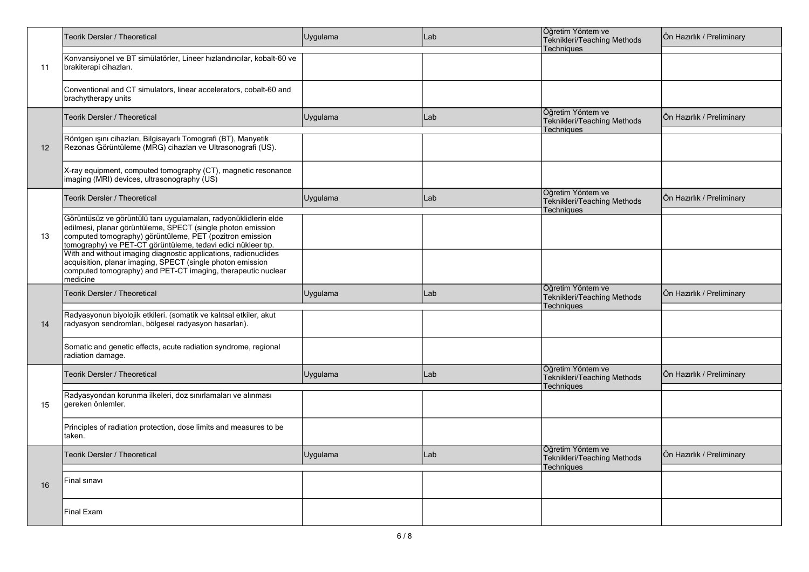|    | Teorik Dersler / Theoretical                                                                                                                                                                                                                                | Uygulama | Lab | Öğretim Yöntem ve<br>Teknikleri/Teaching Methods                      | Ön Hazırlık / Preliminary |
|----|-------------------------------------------------------------------------------------------------------------------------------------------------------------------------------------------------------------------------------------------------------------|----------|-----|-----------------------------------------------------------------------|---------------------------|
| 11 | Konvansiyonel ve BT simülatörler, Lineer hızlandırıcılar, kobalt-60 ve<br>brakiterapi cihazları.                                                                                                                                                            |          |     | <b>Techniques</b>                                                     |                           |
|    | Conventional and CT simulators, linear accelerators, cobalt-60 and<br>brachytherapy units                                                                                                                                                                   |          |     |                                                                       |                           |
|    | Teorik Dersler / Theoretical                                                                                                                                                                                                                                | Uygulama | Lab | Öğretim Yöntem ve<br>Teknikleri/Teaching Methods<br>Techniques        | Ön Hazırlık / Preliminary |
| 12 | Röntgen ışını cihazları, Bilgisayarlı Tomografi (BT), Manyetik<br>Rezonas Görüntüleme (MRG) cihazları ve Ultrasonografi (US).                                                                                                                               |          |     |                                                                       |                           |
|    | X-ray equipment, computed tomography (CT), magnetic resonance<br>imaging (MRI) devices, ultrasonography (US)                                                                                                                                                |          |     |                                                                       |                           |
|    | <b>Teorik Dersler / Theoretical</b>                                                                                                                                                                                                                         | Uygulama | Lab | Öğretim Yöntem ve<br>Teknikleri/Teaching Methods<br>Techniques        | Ön Hazırlık / Preliminary |
| 13 | Görüntüsüz ve görüntülü tanı uygulamaları, radyonüklidlerin elde<br>edilmesi, planar görüntüleme, SPECT (single photon emission<br>computed tomography) görüntüleme, PET (pozitron emission<br>tomography) ve PET-CT görüntüleme, tedavi edici nükleer tıp. |          |     |                                                                       |                           |
|    | With and without imaging diagnostic applications, radionuclides<br>acquisition, planar imaging, SPECT (single photon emission<br>computed tomography) and PET-CT imaging, therapeutic nuclear<br>medicine                                                   |          |     |                                                                       |                           |
|    | Teorik Dersler / Theoretical                                                                                                                                                                                                                                | Uygulama | Lab | Öğretim Yöntem ve<br>Teknikleri/Teaching Methods<br><b>Techniques</b> | Ön Hazırlık / Preliminary |
| 14 | Radyasyonun biyolojik etkileri. (somatik ve kalıtsal etkiler, akut<br>radyasyon sendromları, bölgesel radyasyon hasarları).                                                                                                                                 |          |     |                                                                       |                           |
|    | Somatic and genetic effects, acute radiation syndrome, regional<br>radiation damage.                                                                                                                                                                        |          |     |                                                                       |                           |
|    | <b>Teorik Dersler / Theoretical</b>                                                                                                                                                                                                                         | Uygulama | Lab | Öğretim Yöntem ve<br>Teknikleri/Teaching Methods<br>Techniques        | Ön Hazırlık / Preliminary |
| 15 | Radyasyondan korunma ilkeleri, doz sınırlamaları ve alınması<br>gereken önlemler.                                                                                                                                                                           |          |     |                                                                       |                           |
|    | Principles of radiation protection, dose limits and measures to be<br>taken.                                                                                                                                                                                |          |     |                                                                       |                           |
|    | Teorik Dersler / Theoretical                                                                                                                                                                                                                                | Uygulama | Lab | Öğretim Yöntem ve<br>Teknikleri/Teaching Methods<br>Techniques        | Ön Hazırlık / Preliminary |
| 16 | Final sinavi                                                                                                                                                                                                                                                |          |     |                                                                       |                           |
|    | Final Exam                                                                                                                                                                                                                                                  |          |     |                                                                       |                           |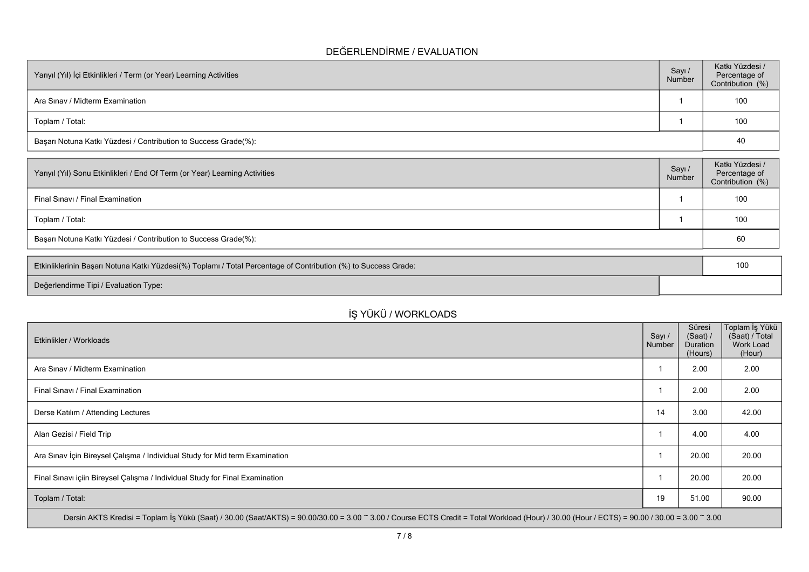### **DEĞERLENDİRME / EVALUATION**

| Yarıyıl (Yıl) İçi Etkinlikleri / Term (or Year) Learning Activities |  | Katkı Yüzdesi /<br>Percentage of<br>Contribution (%) |  |  |
|---------------------------------------------------------------------|--|------------------------------------------------------|--|--|
| Ara Sinav / Midterm Examination                                     |  | 100                                                  |  |  |
| Toplam / Total:                                                     |  | 100                                                  |  |  |
| Başarı Notuna Katkı Yüzdesi / Contribution to Success Grade(%):     |  |                                                      |  |  |

| Yarıyıl (Yıl) Sonu Etkinlikleri / End Of Term (or Year) Learning Activities | Sayı/<br>Number | Katkı Yüzdesi /<br>Percentage of<br>Contribution (%) |  |  |  |
|-----------------------------------------------------------------------------|-----------------|------------------------------------------------------|--|--|--|
| Final Sinavi / Final Examination                                            |                 | 100                                                  |  |  |  |
| Toplam / Total:                                                             |                 | 100                                                  |  |  |  |
| Başarı Notuna Katkı Yüzdesi / Contribution to Success Grade(%):             |                 |                                                      |  |  |  |

| Etkinliklerinin Başarı Notuna Katkı Yüzdesi(%) Toplamı / Total Percentage of Contribution (%) to Success Grade: |  |  |
|-----------------------------------------------------------------------------------------------------------------|--|--|
| Değerlendirme Tipi / Evaluation Type:                                                                           |  |  |

# **İŞ YÜKÜ / WORKLOADS**

| Etkinlikler / Workloads                                                                                                                                                                      | Sayı /<br>Number | Süresi<br>(Saat) /<br>Duration<br>(Hours) | ∣Toplam İş Yükü<br>(Saat) / Total<br>Work Load<br>(Hour) |
|----------------------------------------------------------------------------------------------------------------------------------------------------------------------------------------------|------------------|-------------------------------------------|----------------------------------------------------------|
| Ara Sinav / Midterm Examination                                                                                                                                                              |                  | 2.00                                      | 2.00                                                     |
| Final Sınavı / Final Examination                                                                                                                                                             |                  | 2.00                                      | 2.00                                                     |
| Derse Katılım / Attending Lectures                                                                                                                                                           | 14               | 3.00                                      | 42.00                                                    |
| Alan Gezisi / Field Trip                                                                                                                                                                     |                  | 4.00                                      | 4.00                                                     |
| Ara Sınav İçin Bireysel Çalışma / Individual Study for Mid term Examination                                                                                                                  |                  | 20.00                                     | 20.00                                                    |
| Final Sınavı içiin Bireysel Çalışma / Individual Study for Final Examination                                                                                                                 |                  | 20.00                                     | 20.00                                                    |
| Toplam / Total:                                                                                                                                                                              | 19               | 51.00                                     | 90.00                                                    |
| Dersin AKTS Kredisi = Toplam İş Yükü (Saat) / 30.00 (Saat/AKTS) = 90.00/30.00 = 3.00 ~ 3.00 / Course ECTS Credit = Total Workload (Hour) / 30.00 (Hour / ECTS) = 90.00 / 30.00 = 3.00 ~ 3.00 |                  |                                           |                                                          |